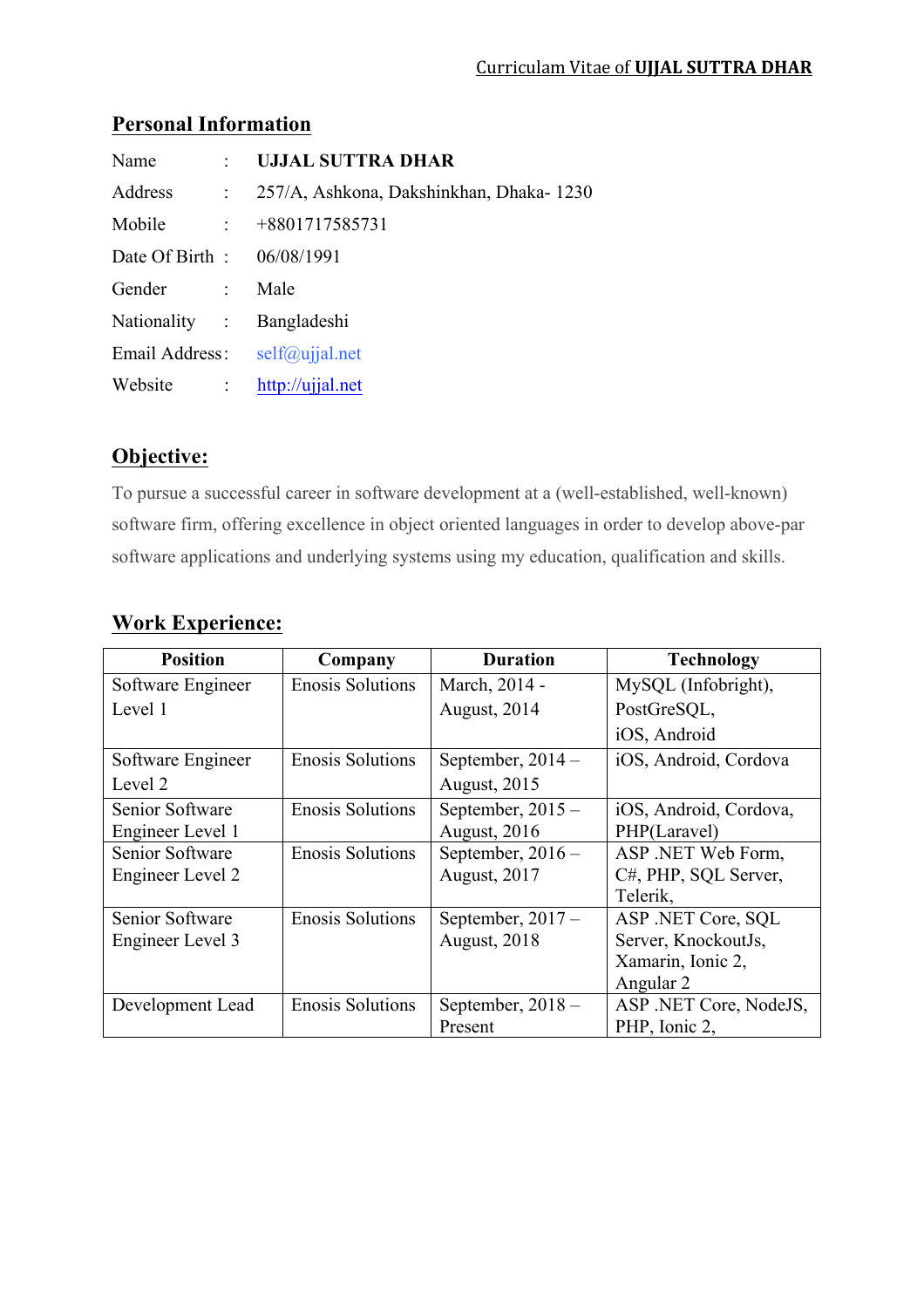### **Personal Information**

| Name                       |                            | : UJJAL SUTTRA DHAR                      |
|----------------------------|----------------------------|------------------------------------------|
| Address                    | $\sim 10^6$                | 257/A, Ashkona, Dakshinkhan, Dhaka-1230  |
| Mobile                     | $\sim 100$ km s $^{-1}$    | $+8801717585731$                         |
| Date Of Birth : 06/08/1991 |                            |                                          |
| Gender                     | $\mathcal{L}^{\text{max}}$ | Male                                     |
| Nationality : Bangladeshi  |                            |                                          |
|                            |                            | Email Address: $self(\hat{a})$ ujjal.net |
| Website                    | $\sim 10^6$                | http://ujjal.net                         |

# **Objective:**

To pursue a successful career in software development at a (well-established, well-known) software firm, offering excellence in object oriented languages in order to develop above-par software applications and underlying systems using my education, qualification and skills.

| <b>Position</b>   | Company                 | <b>Duration</b>     | <b>Technology</b>      |
|-------------------|-------------------------|---------------------|------------------------|
| Software Engineer | <b>Enosis Solutions</b> | March, 2014 -       | MySQL (Infobright),    |
| Level 1           |                         | August, 2014        | PostGreSQL,            |
|                   |                         |                     | iOS, Android           |
| Software Engineer | <b>Enosis Solutions</b> | September, $2014 -$ | iOS, Android, Cordova  |
| Level 2           |                         | <b>August, 2015</b> |                        |
| Senior Software   | <b>Enosis Solutions</b> | September, $2015 -$ | iOS, Android, Cordova, |
| Engineer Level 1  |                         | <b>August, 2016</b> | PHP(Laravel)           |
| Senior Software   | <b>Enosis Solutions</b> | September, $2016 -$ | ASP .NET Web Form,     |
| Engineer Level 2  |                         | <b>August, 2017</b> | C#, PHP, SQL Server,   |
|                   |                         |                     | Telerik.               |
| Senior Software   | <b>Enosis Solutions</b> | September, $2017 -$ | ASP .NET Core, SQL     |
| Engineer Level 3  |                         | <b>August, 2018</b> | Server, KnockoutJs,    |
|                   |                         |                     | Xamarin, Ionic 2,      |
|                   |                         |                     | Angular 2              |
| Development Lead  | <b>Enosis Solutions</b> | September, $2018 -$ | ASP .NET Core, NodeJS, |
|                   |                         | Present             | PHP, Ionic 2,          |

# **Work Experience:**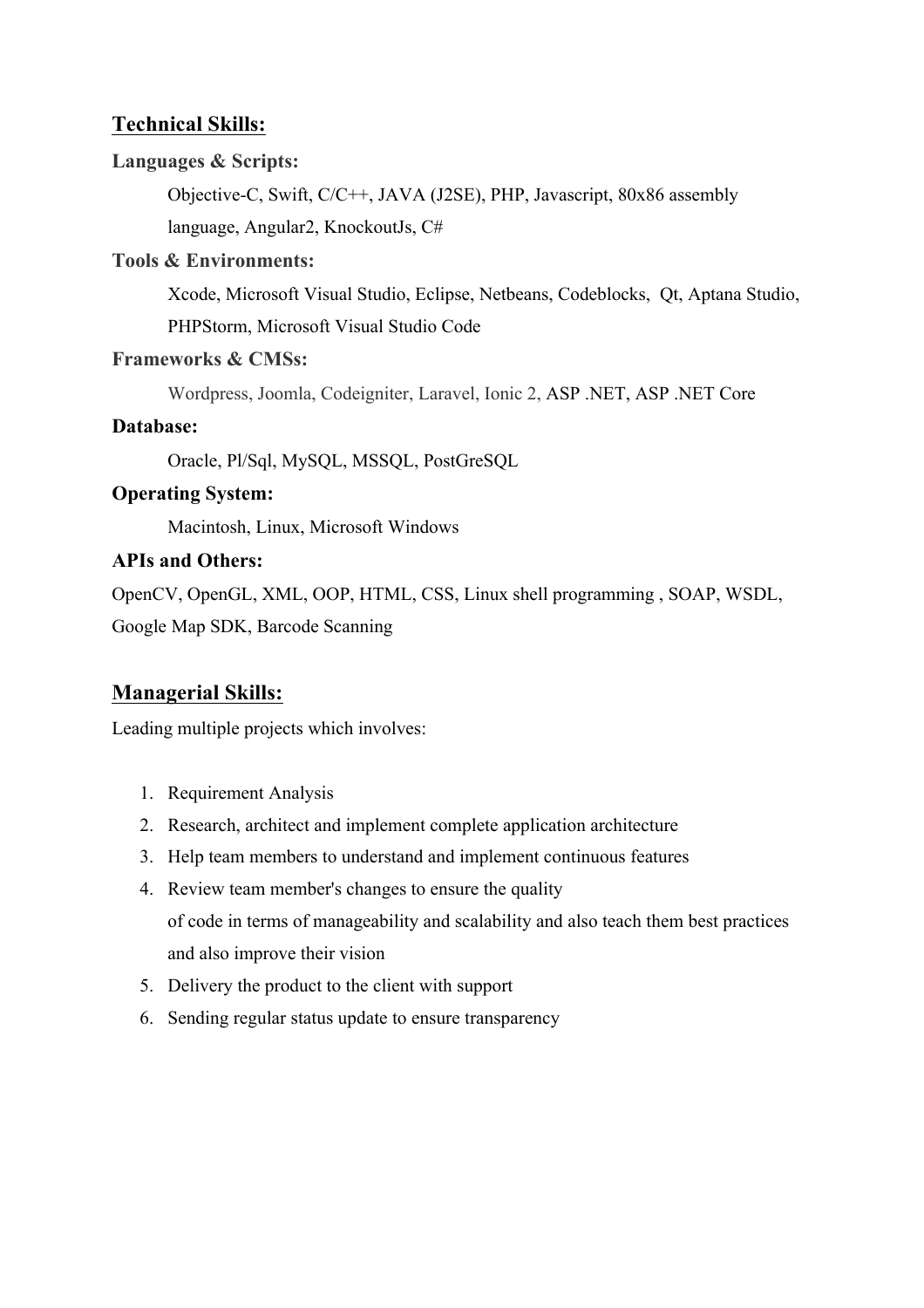## **Technical Skills:**

#### **Languages & Scripts:**

Objective-C, Swift, C/C++, JAVA (J2SE), PHP, Javascript, 80x86 assembly language, Angular2, KnockoutJs, C#

#### **Tools & Environments:**

Xcode, Microsoft Visual Studio, Eclipse, Netbeans, Codeblocks, Qt, Aptana Studio, PHPStorm, Microsoft Visual Studio Code

#### **Frameworks & CMSs:**

Wordpress, Joomla, Codeigniter, Laravel, Ionic 2, ASP .NET, ASP .NET Core

#### **Database:**

Oracle, Pl/Sql, MySQL, MSSQL, PostGreSQL

#### **Operating System:**

Macintosh, Linux, Microsoft Windows

#### **APIs and Others:**

OpenCV, OpenGL, XML, OOP, HTML, CSS, Linux shell programming , SOAP, WSDL, Google Map SDK, Barcode Scanning

## **Managerial Skills:**

Leading multiple projects which involves:

- 1. Requirement Analysis
- 2. Research, architect and implement complete application architecture
- 3. Help team members to understand and implement continuous features
- 4. Review team member's changes to ensure the quality of code in terms of manageability and scalability and also teach them best practices and also improve their vision
- 5. Delivery the product to the client with support
- 6. Sending regular status update to ensure transparency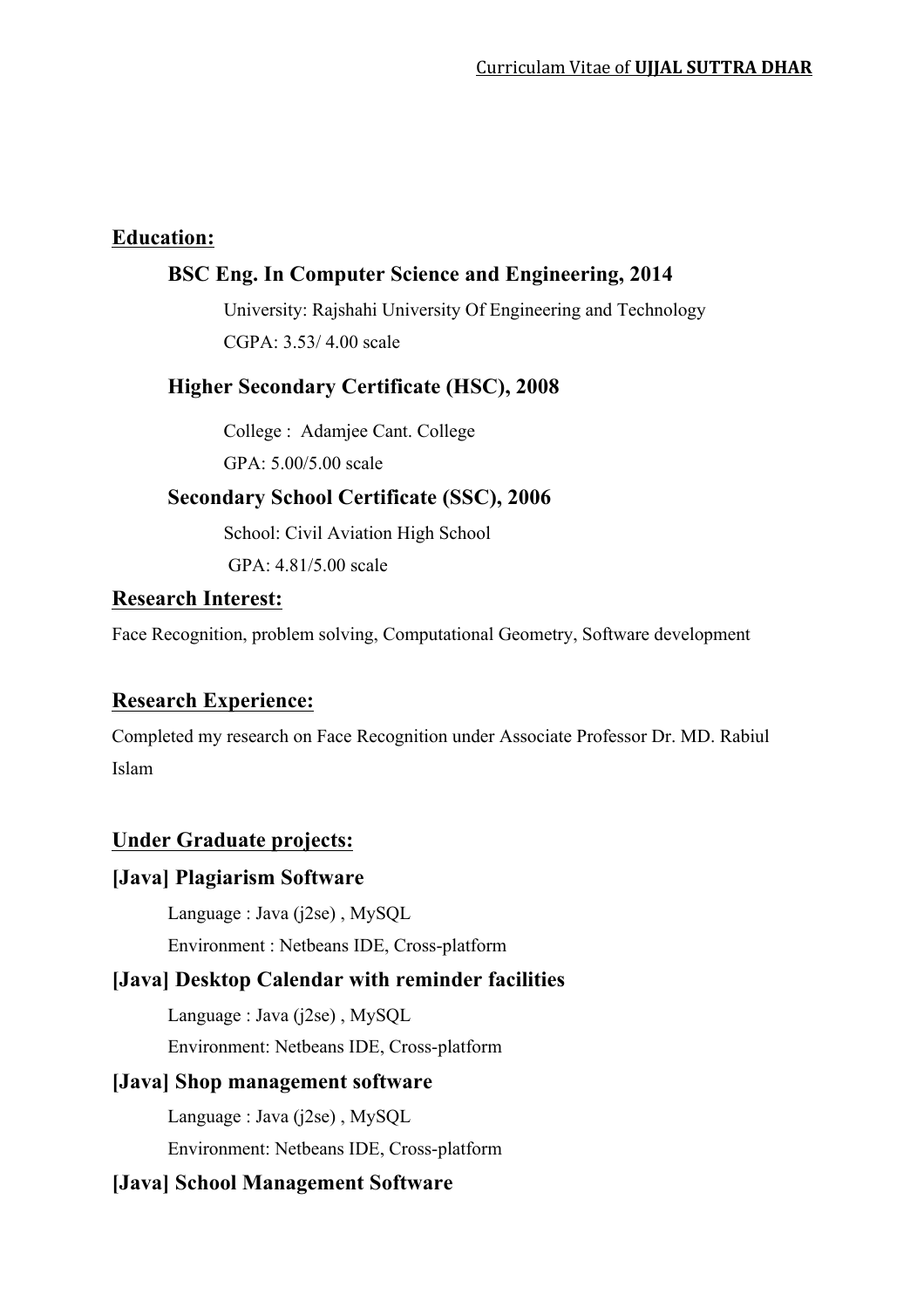#### **Education:**

# **BSC Eng. In Computer Science and Engineering, 2014**

University: Rajshahi University Of Engineering and Technology  $CGPA \cdot 3.53/4.00$  scale

#### **Higher Secondary Certificate (HSC), 2008**

College : Adamjee Cant. College GPA: 5.00/5.00 scale

## **Secondary School Certificate (SSC), 2006**

School: Civil Aviation High School GPA: 4.81/5.00 scale

#### **Research Interest:**

Face Recognition, problem solving, Computational Geometry, Software development

# **Research Experience:**

Completed my research on Face Recognition under Associate Professor Dr. MD. Rabiul Islam

## **Under Graduate projects:**

#### **[Java] Plagiarism Software**

Language : Java (j2se) , MySQL

Environment : Netbeans IDE, Cross-platform

## **[Java] Desktop Calendar with reminder facilities**

Language : Java (j2se) , MySQL Environment: Netbeans IDE, Cross-platform

#### **[Java] Shop management software**

Language : Java (j2se) , MySQL Environment: Netbeans IDE, Cross-platform

## **[Java] School Management Software**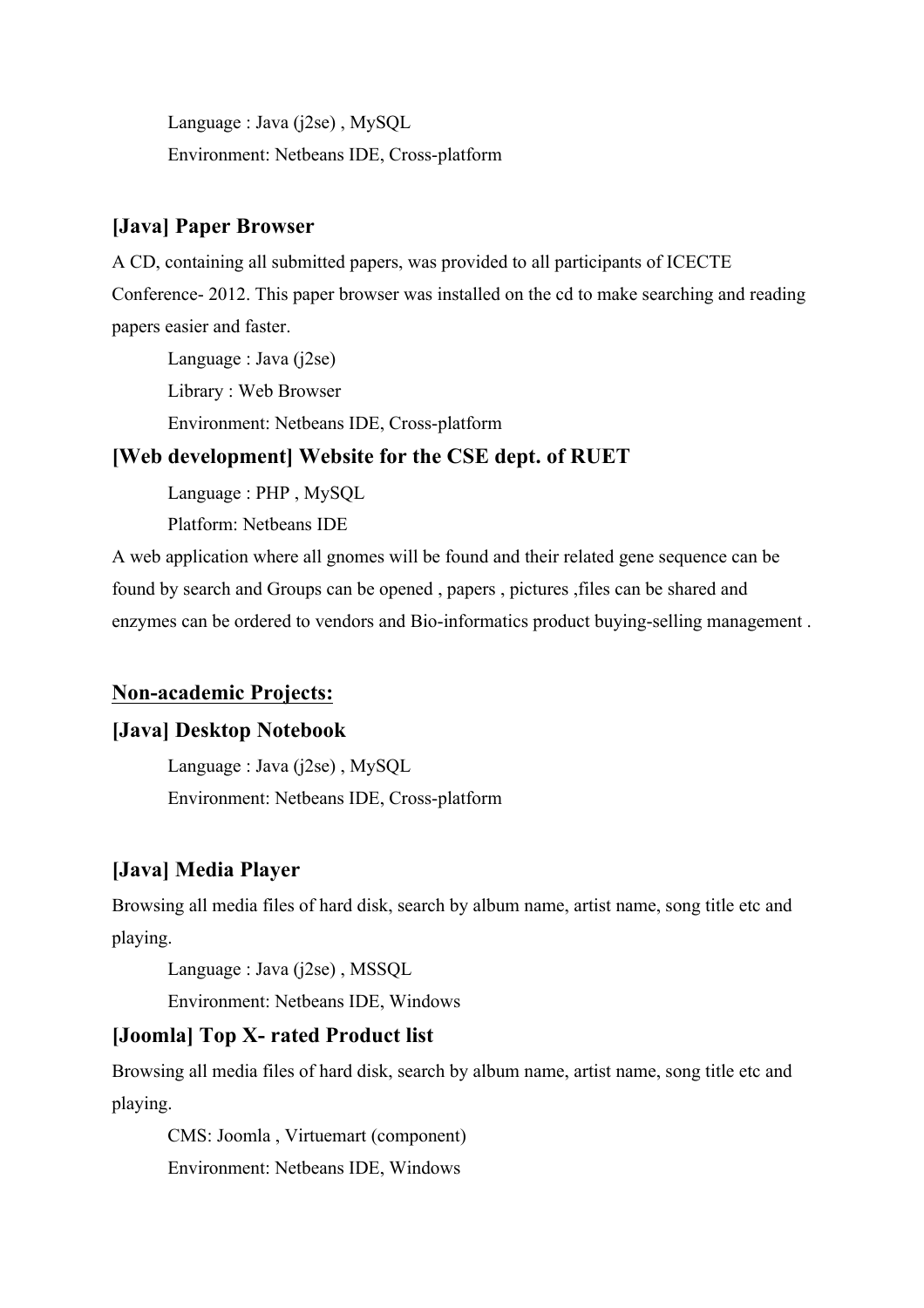Language : Java (j2se) , MySQL Environment: Netbeans IDE, Cross-platform

# **[Java] Paper Browser**

A CD, containing all submitted papers, was provided to all participants of ICECTE Conference- 2012. This paper browser was installed on the cd to make searching and reading papers easier and faster.

Language : Java (j2se) Library : Web Browser

Environment: Netbeans IDE, Cross-platform

## **[Web development] Website for the CSE dept. of RUET**

Language : PHP , MySQL

Platform: Netbeans IDE

A web application where all gnomes will be found and their related gene sequence can be found by search and Groups can be opened , papers , pictures ,files can be shared and enzymes can be ordered to vendors and Bio-informatics product buying-selling management .

# **Non-academic Projects:**

# **[Java] Desktop Notebook**

Language : Java (j2se) , MySQL Environment: Netbeans IDE, Cross-platform

# **[Java] Media Player**

Browsing all media files of hard disk, search by album name, artist name, song title etc and playing.

Language : Java (j2se) , MSSQL

Environment: Netbeans IDE, Windows

# **[Joomla] Top X- rated Product list**

Browsing all media files of hard disk, search by album name, artist name, song title etc and playing.

CMS: Joomla , Virtuemart (component) Environment: Netbeans IDE, Windows